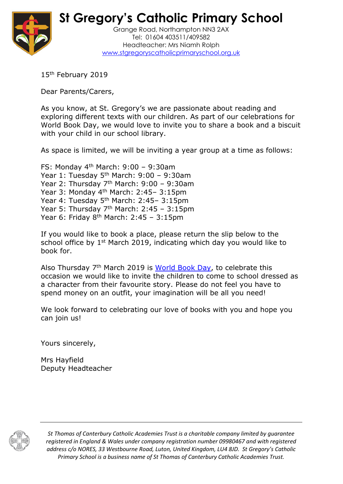

**St Gregory's Catholic Primary School**

Grange Road, Northampton NN3 2AX Tel: 01604 403511/409582 Headteacher: Mrs Niamh Rolph [www.stgregoryscatholicprimaryschool.org.uk](http://www.stgregoryscatholicprimaryschool.org.uk/)

15<sup>th</sup> February 2019

Dear Parents/Carers,

As you know, at St. Gregory's we are passionate about reading and exploring different texts with our children. As part of our celebrations for World Book Day, we would love to invite you to share a book and a biscuit with your child in our school library.

As space is limited, we will be inviting a year group at a time as follows:

FS: Monday 4<sup>th</sup> March: 9:00 - 9:30am Year 1: Tuesday  $5<sup>th</sup>$  March: 9:00 – 9:30am Year 2: Thursday  $7<sup>th</sup>$  March: 9:00 - 9:30am Year 3: Monday 4<sup>th</sup> March: 2:45-3:15pm Year 4: Tuesday 5<sup>th</sup> March: 2:45-3:15pm Year 5: Thursday  $7<sup>th</sup>$  March: 2:45 - 3:15pm Year 6: Friday  $8<sup>th</sup>$  March: 2:45 - 3:15pm

If you would like to book a place, please return the slip below to the school office by 1<sup>st</sup> March 2019, indicating which day you would like to book for.

Also Thursday 7<sup>th</sup> March 2019 is [World Book Day,](https://www.worldbookday.com/) to celebrate this occasion we would like to invite the children to come to school dressed as a character from their favourite story. Please do not feel you have to spend money on an outfit, your imagination will be all you need!

We look forward to celebrating our love of books with you and hope you can join us!

Yours sincerely,

Mrs Hayfield Deputy Headteacher



*St Thomas of Canterbury Catholic Academies Trust is a charitable company limited by guarantee registered in England & Wales under company registration number 09980467 and with registered address c/o NORES, 33 Westbourne Road, Luton, United Kingdom, LU4 8JD. St Gregory's Catholic Primary School is a business name of St Thomas of Canterbury Catholic Academies Trust.*